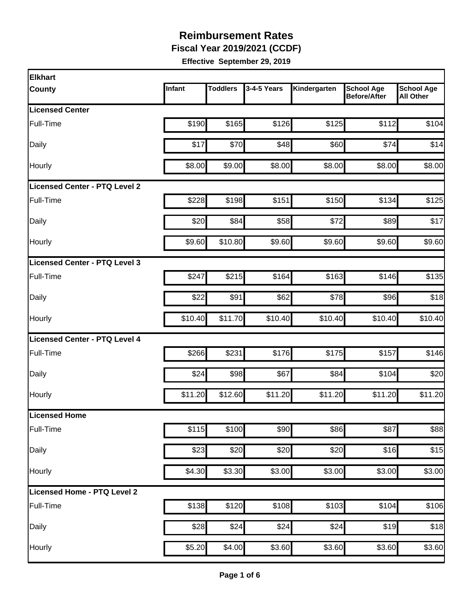**Fiscal Year 2019/2021 (CCDF)** 

| <b>Elkhart</b>                |         |                 |             |              |                                          |                                       |
|-------------------------------|---------|-----------------|-------------|--------------|------------------------------------------|---------------------------------------|
| <b>County</b>                 | Infant  | <b>Toddlers</b> | 3-4-5 Years | Kindergarten | <b>School Age</b><br><b>Before/After</b> | <b>School Age</b><br><b>All Other</b> |
| <b>Licensed Center</b>        |         |                 |             |              |                                          |                                       |
| Full-Time                     | \$190   | \$165           | \$126       | \$125        | \$112                                    | \$104                                 |
| Daily                         | \$17    | \$70            | \$48        | \$60         | \$74                                     | \$14                                  |
| Hourly                        | \$8.00  | \$9.00          | \$8.00      | \$8.00       | \$8.00                                   | \$8.00                                |
| Licensed Center - PTQ Level 2 |         |                 |             |              |                                          |                                       |
| Full-Time                     | \$228   | \$198           | \$151       | \$150        | \$134                                    | \$125                                 |
| Daily                         | \$20    | \$84            | \$58        | \$72         | \$89                                     | \$17                                  |
| Hourly                        | \$9.60  | \$10.80         | \$9.60      | \$9.60       | \$9.60                                   | \$9.60                                |
| Licensed Center - PTQ Level 3 |         |                 |             |              |                                          |                                       |
| Full-Time                     | \$247   | \$215           | \$164       | \$163        | \$146                                    | \$135                                 |
| Daily                         | \$22    | \$91            | \$62        | \$78         | \$96                                     | \$18                                  |
| Hourly                        | \$10.40 | \$11.70         | \$10.40     | \$10.40      | \$10.40                                  | \$10.40                               |
| Licensed Center - PTQ Level 4 |         |                 |             |              |                                          |                                       |
| Full-Time                     | \$266   | \$231           | \$176       | \$175        | \$157                                    | \$146                                 |
| Daily                         | \$24    | \$98            | \$67        | \$84         | \$104                                    | \$20                                  |
| Hourly                        | \$11.20 | \$12.60         | \$11.20     | \$11.20      | \$11.20                                  | \$11.20                               |
| <b>Licensed Home</b>          |         |                 |             |              |                                          |                                       |
| Full-Time                     | \$115   | \$100           | \$90        | \$86         | \$87                                     | \$88                                  |
| Daily                         | \$23    | \$20            | \$20        | \$20         | \$16                                     | \$15                                  |
| Hourly                        | \$4.30  | \$3.30          | \$3.00      | \$3.00       | \$3.00                                   | \$3.00                                |
| Licensed Home - PTQ Level 2   |         |                 |             |              |                                          |                                       |
| Full-Time                     | \$138   | \$120           | \$108       | \$103        | \$104                                    | \$106                                 |
| Daily                         | \$28    | \$24            | \$24        | \$24         | \$19                                     | \$18                                  |
| Hourly                        | \$5.20  | \$4.00          | \$3.60      | \$3.60       | \$3.60                                   | \$3.60                                |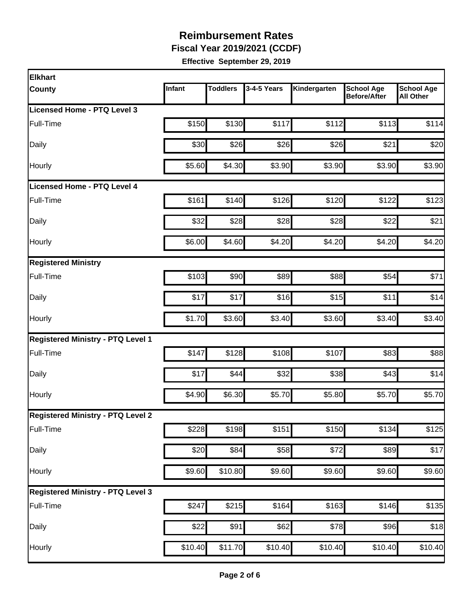**Fiscal Year 2019/2021 (CCDF)** 

| <b>Elkhart</b>                           |         |                 |             |              |                                   |                                       |
|------------------------------------------|---------|-----------------|-------------|--------------|-----------------------------------|---------------------------------------|
| <b>County</b>                            | Infant  | <b>Toddlers</b> | 3-4-5 Years | Kindergarten | <b>School Age</b><br>Before/After | <b>School Age</b><br><b>All Other</b> |
| Licensed Home - PTQ Level 3              |         |                 |             |              |                                   |                                       |
| Full-Time                                | \$150   | \$130           | \$117       | \$112        | \$113                             | \$114                                 |
| Daily                                    | \$30    | \$26            | \$26        | \$26         | \$21                              | \$20                                  |
| Hourly                                   | \$5.60  | \$4.30          | \$3.90      | \$3.90       | \$3.90                            | \$3.90                                |
| <b>Licensed Home - PTQ Level 4</b>       |         |                 |             |              |                                   |                                       |
| Full-Time                                | \$161   | \$140           | \$126       | \$120        | \$122                             | \$123                                 |
| Daily                                    | \$32    | \$28            | \$28        | \$28         | \$22                              | \$21                                  |
| Hourly                                   | \$6.00  | \$4.60          | \$4.20      | \$4.20       | \$4.20                            | \$4.20                                |
| <b>Registered Ministry</b>               |         |                 |             |              |                                   |                                       |
| Full-Time                                | \$103   | \$90            | \$89        | \$88         | \$54                              | \$71                                  |
| Daily                                    | \$17    | \$17            | \$16        | \$15         | \$11                              | \$14                                  |
| Hourly                                   | \$1.70  | \$3.60          | \$3.40      | \$3.60       | \$3.40                            | \$3.40                                |
| <b>Registered Ministry - PTQ Level 1</b> |         |                 |             |              |                                   |                                       |
| Full-Time                                | \$147   | \$128           | \$108       | \$107        | \$83                              | \$88                                  |
| Daily                                    | \$17    | \$44            | \$32        | \$38         | \$43                              | \$14                                  |
| Hourly                                   | \$4.90  | \$6.30          | \$5.70      | \$5.80       | \$5.70                            | \$5.70                                |
| <b>Registered Ministry - PTQ Level 2</b> |         |                 |             |              |                                   |                                       |
| Full-Time                                | \$228   | \$198           | \$151       | \$150        | \$134                             | \$125                                 |
| Daily                                    | \$20    | \$84            | \$58        | \$72         | \$89                              | \$17                                  |
| Hourly                                   | \$9.60  | \$10.80         | \$9.60      | \$9.60       | \$9.60                            | \$9.60                                |
| <b>Registered Ministry - PTQ Level 3</b> |         |                 |             |              |                                   |                                       |
| Full-Time                                | \$247   | \$215           | \$164       | \$163        | \$146                             | $\overline{$135}$                     |
| Daily                                    | \$22    | \$91            | \$62        | \$78         | \$96                              | \$18                                  |
| Hourly                                   | \$10.40 | \$11.70         | \$10.40     | \$10.40      | \$10.40                           | \$10.40                               |
|                                          |         |                 |             |              |                                   |                                       |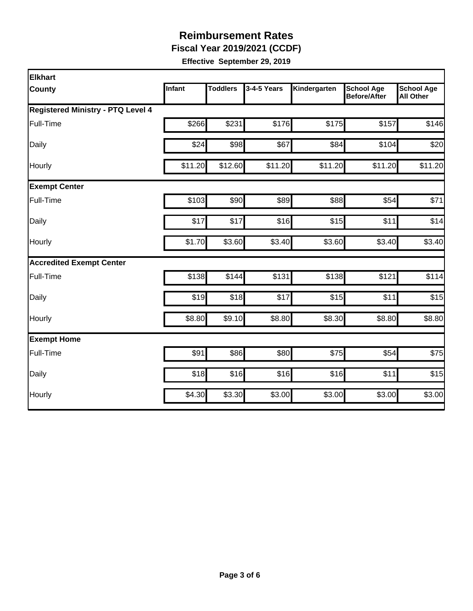**Fiscal Year 2019/2021 (CCDF)** 

| <b>Elkhart</b>                           |         |                 |             |              |                                          |                                       |
|------------------------------------------|---------|-----------------|-------------|--------------|------------------------------------------|---------------------------------------|
| County                                   | Infant  | <b>Toddlers</b> | 3-4-5 Years | Kindergarten | <b>School Age</b><br><b>Before/After</b> | <b>School Age</b><br><b>All Other</b> |
| <b>Registered Ministry - PTQ Level 4</b> |         |                 |             |              |                                          |                                       |
| Full-Time                                | \$266   | \$231           | \$176       | \$175        | \$157                                    | \$146                                 |
| Daily                                    | \$24    | \$98            | \$67        | \$84         | \$104                                    | \$20                                  |
| Hourly                                   | \$11.20 | \$12.60         | \$11.20     | \$11.20      | \$11.20                                  | \$11.20                               |
| <b>Exempt Center</b>                     |         |                 |             |              |                                          |                                       |
| Full-Time                                | \$103   | \$90            | \$89        | \$88         | \$54                                     | \$71                                  |
| Daily                                    | \$17    | \$17            | \$16        | \$15         | \$11                                     | \$14                                  |
| Hourly                                   | \$1.70  | \$3.60          | \$3.40      | \$3.60       | \$3.40                                   | \$3.40                                |
| <b>Accredited Exempt Center</b>          |         |                 |             |              |                                          |                                       |
| Full-Time                                | \$138   | \$144           | \$131       | \$138        | \$121                                    | \$114                                 |
| Daily                                    | \$19    | \$18            | \$17        | \$15         | \$11                                     | \$15                                  |
| Hourly                                   | \$8.80  | \$9.10          | \$8.80      | \$8.30       | \$8.80                                   | \$8.80                                |
| <b>Exempt Home</b>                       |         |                 |             |              |                                          |                                       |
| Full-Time                                | \$91    | \$86            | \$80        | \$75         | \$54                                     | \$75                                  |
| Daily                                    | \$18    | \$16            | \$16        | \$16         | \$11                                     | \$15                                  |
| Hourly                                   | \$4.30  | \$3.30          | \$3.00      | \$3.00       | \$3.00                                   | \$3.00                                |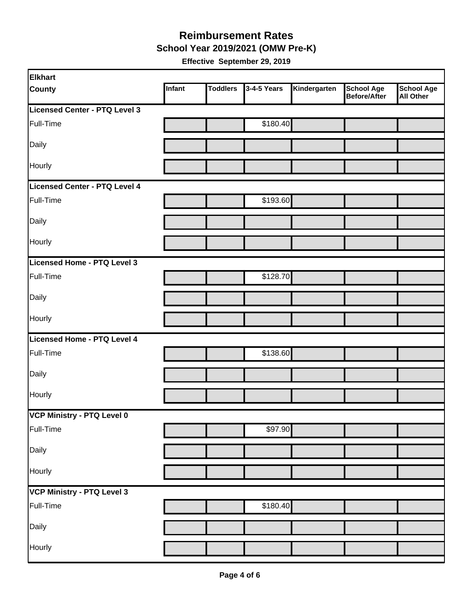**School Year 2019/2021 (OMW Pre-K)** 

| <b>Elkhart</b>                |        |                 |             |              |                                   |                         |
|-------------------------------|--------|-----------------|-------------|--------------|-----------------------------------|-------------------------|
| <b>County</b>                 | Infant | <b>Toddlers</b> | 3-4-5 Years | Kindergarten | <b>School Age</b><br>Before/After | School Age<br>All Other |
| Licensed Center - PTQ Level 3 |        |                 |             |              |                                   |                         |
| Full-Time                     |        |                 | \$180.40    |              |                                   |                         |
| Daily                         |        |                 |             |              |                                   |                         |
| Hourly                        |        |                 |             |              |                                   |                         |
| Licensed Center - PTQ Level 4 |        |                 |             |              |                                   |                         |
| Full-Time                     |        |                 | \$193.60    |              |                                   |                         |
| Daily                         |        |                 |             |              |                                   |                         |
| Hourly                        |        |                 |             |              |                                   |                         |
| Licensed Home - PTQ Level 3   |        |                 |             |              |                                   |                         |
| Full-Time                     |        |                 | \$128.70    |              |                                   |                         |
| Daily                         |        |                 |             |              |                                   |                         |
| Hourly                        |        |                 |             |              |                                   |                         |
| Licensed Home - PTQ Level 4   |        |                 |             |              |                                   |                         |
| Full-Time                     |        |                 | \$138.60    |              |                                   |                         |
| Daily                         |        |                 |             |              |                                   |                         |
| Hourly                        |        |                 |             |              |                                   |                         |
| VCP Ministry - PTQ Level 0    |        |                 |             |              |                                   |                         |
| Full-Time                     |        |                 | \$97.90     |              |                                   |                         |
| Daily                         |        |                 |             |              |                                   |                         |
| Hourly                        |        |                 |             |              |                                   |                         |
| VCP Ministry - PTQ Level 3    |        |                 |             |              |                                   |                         |
| Full-Time                     |        |                 | \$180.40    |              |                                   |                         |
| Daily                         |        |                 |             |              |                                   |                         |
| Hourly                        |        |                 |             |              |                                   |                         |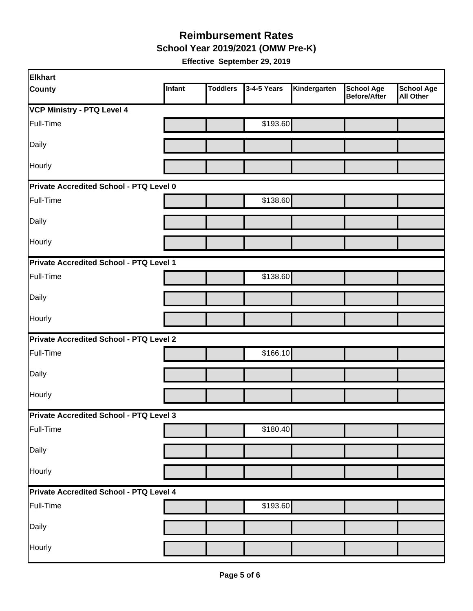**School Year 2019/2021 (OMW Pre-K)** 

| <b>Elkhart</b>                          |        |                 |             |              |                                          |                                       |  |
|-----------------------------------------|--------|-----------------|-------------|--------------|------------------------------------------|---------------------------------------|--|
| <b>County</b>                           | Infant | <b>Toddlers</b> | 3-4-5 Years | Kindergarten | <b>School Age</b><br><b>Before/After</b> | <b>School Age</b><br><b>All Other</b> |  |
| <b>VCP Ministry - PTQ Level 4</b>       |        |                 |             |              |                                          |                                       |  |
| Full-Time                               |        |                 | \$193.60    |              |                                          |                                       |  |
| Daily                                   |        |                 |             |              |                                          |                                       |  |
| Hourly                                  |        |                 |             |              |                                          |                                       |  |
| Private Accredited School - PTQ Level 0 |        |                 |             |              |                                          |                                       |  |
| Full-Time                               |        |                 | \$138.60    |              |                                          |                                       |  |
| Daily                                   |        |                 |             |              |                                          |                                       |  |
| Hourly                                  |        |                 |             |              |                                          |                                       |  |
| Private Accredited School - PTQ Level 1 |        |                 |             |              |                                          |                                       |  |
| Full-Time                               |        |                 | \$138.60    |              |                                          |                                       |  |
| Daily                                   |        |                 |             |              |                                          |                                       |  |
| <b>Hourly</b>                           |        |                 |             |              |                                          |                                       |  |
| Private Accredited School - PTQ Level 2 |        |                 |             |              |                                          |                                       |  |
| Full-Time                               |        |                 | \$166.10    |              |                                          |                                       |  |
| Daily                                   |        |                 |             |              |                                          |                                       |  |
| Hourly                                  |        |                 |             |              |                                          |                                       |  |
| Private Accredited School - PTQ Level 3 |        |                 |             |              |                                          |                                       |  |
| Full-Time                               |        |                 | \$180.40    |              |                                          |                                       |  |
| Daily                                   |        |                 |             |              |                                          |                                       |  |
| Hourly                                  |        |                 |             |              |                                          |                                       |  |
| Private Accredited School - PTQ Level 4 |        |                 |             |              |                                          |                                       |  |
| Full-Time                               |        |                 | \$193.60    |              |                                          |                                       |  |
| Daily                                   |        |                 |             |              |                                          |                                       |  |
| Hourly                                  |        |                 |             |              |                                          |                                       |  |